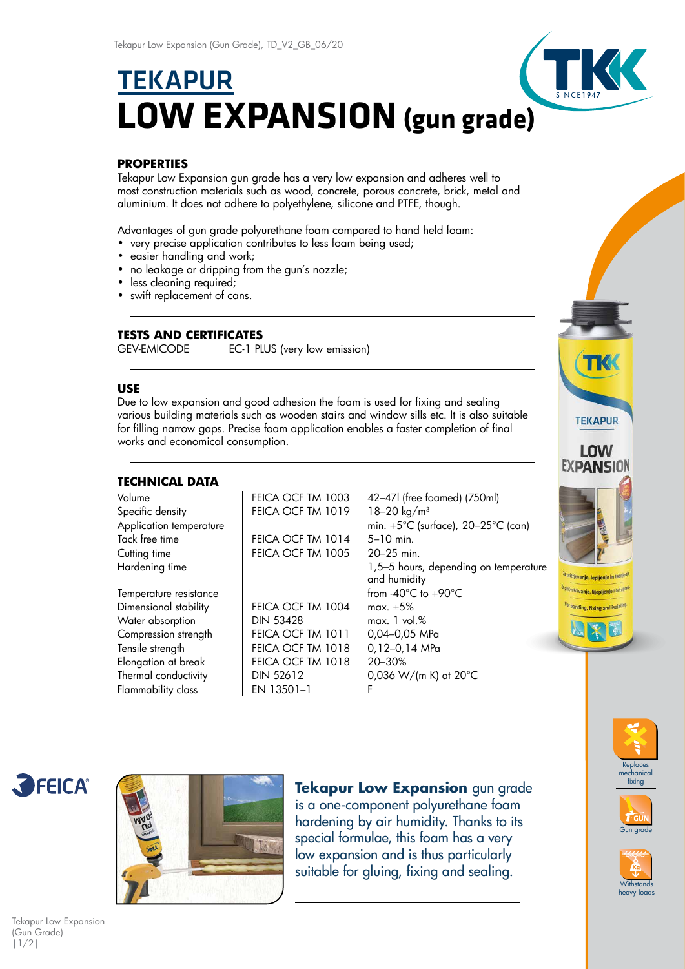# **TEKAPUR LOW EXPANSION (gun grade)**

# **PROPERTIES**

Tekapur Low Expansion gun grade has a very low expansion and adheres well to most construction materials such as wood, concrete, porous concrete, brick, metal and aluminium. It does not adhere to polyethylene, silicone and PTFE, though.

Advantages of gun grade polyurethane foam compared to hand held foam:

- very precise application contributes to less foam being used;
- easier handling and work;
- no leakage or dripping from the gun's nozzle;
- less cleaning required;
- swift replacement of cans.

# **TESTS AND CERTIFICATES**

GEV-EMICODE EC-1 PLUS (very low emission)

### **USE**

Due to low expansion and good adhesion the foam is used for fixing and sealing various building materials such as wooden stairs and window sills etc. It is also suitable for filling narrow gaps. Precise foam application enables a faster completion of final works and economical consumption.

# **TECHNICAL DATA**

| Volume                  | FEICA OCF TM 1003 | 42-47l (free foamed) (750ml)                            |
|-------------------------|-------------------|---------------------------------------------------------|
| Specific density        | FEICA OCF TM 1019 | 18-20 kg/m <sup>3</sup>                                 |
| Application temperature |                   | min. $+5^{\circ}$ C (surface), 20-25 $^{\circ}$ C (can) |
| Tack free time          | FEICA OCF TM 1014 | $5 - 10$ min.                                           |
| Cutting time            | FEICA OCF TM 1005 | 20-25 min.                                              |
| Hardening time          |                   | 1,5-5 hours, depending on temperature                   |
|                         |                   | and humidity                                            |
| Temperature resistance  |                   | from $-40^{\circ}$ C to $+90^{\circ}$ C                 |
| Dimensional stability   | FEICA OCF TM 1004 | max. $\pm 5\%$                                          |
| Water absorption        | <b>DIN 53428</b>  | max. 1 vol. %                                           |
| Compression strength    | FEICA OCF TM 1011 | 0,04-0,05 MPa                                           |
| Tensile strength        | FEICA OCF TM 1018 | 0,12-0,14 MPa                                           |
| Elongation at break     | FEICA OCF TM 1018 | 20-30%                                                  |
| Thermal conductivity    | <b>DIN 52612</b>  | 0,036 W/(m K) at $20^{\circ}$ C                         |
| Flammability class      | EN 13501-1        | F                                                       |
|                         |                   |                                                         |





**Tekapur Low Expansion** gun grade is a one-component polyurethane foam hardening by air humidity. Thanks to its special formulae, this foam has a very low expansion and is thus particularly suitable for gluing, fixing and sealing.





**Replaces** 



Tekapur Low Expansion (Gun Grade) |1/2|